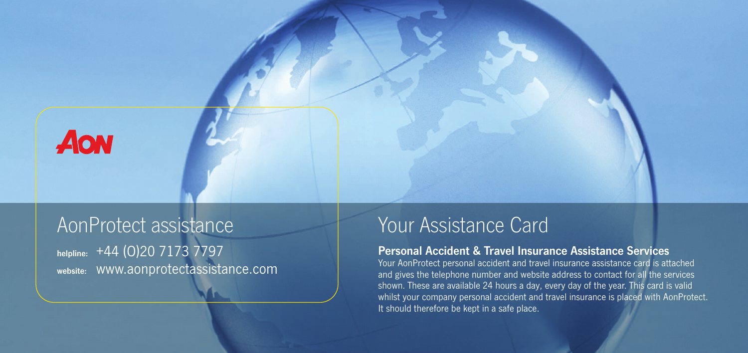

# AonProtect assistance

**helpline:** +44 (O)20 7173 7797 **website:** www.aonprotectassistance.com

## Your Assistance Card

### **Personal Accident & Travel Insurance Assistance Services**

Your AonProtect personal accident and travel insurance assistance card is attached and gives the telephone number and website address to contact for all the services shown. These are available 24 hours a day, every day of the year. This card is valid whilst your company personal accident and travel insurance is placed with AonProtect. It should therefore be kept in a safe place.